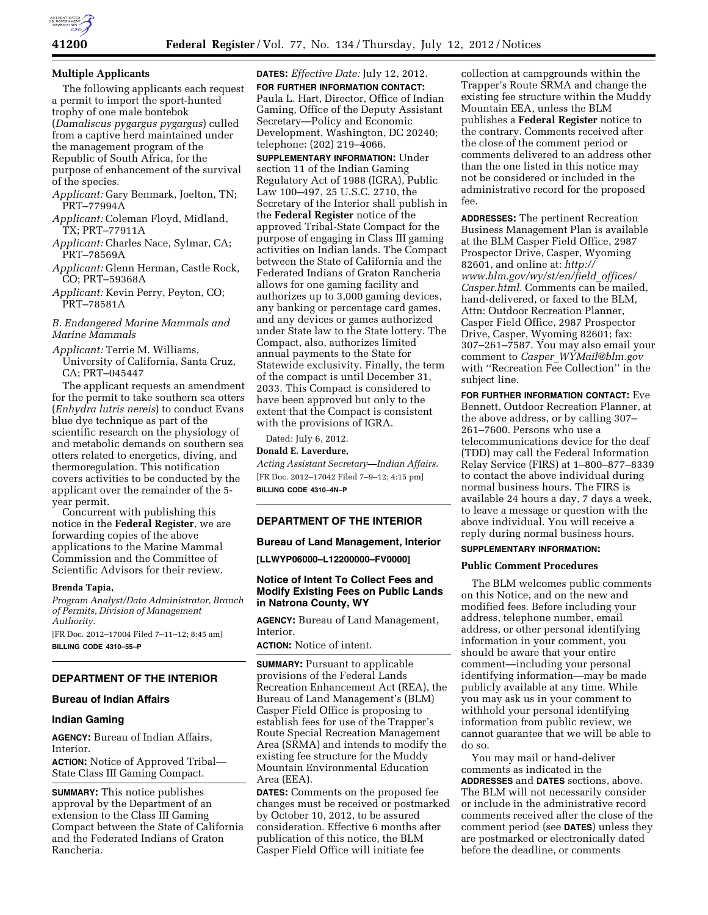

### **Multiple Applicants**

The following applicants each request a permit to import the sport-hunted trophy of one male bontebok (*Damaliscus pygargus pygargus*) culled from a captive herd maintained under the management program of the Republic of South Africa, for the purpose of enhancement of the survival of the species.

- *Applicant:* Gary Benmark, Joelton, TN; PRT–77994A
- *Applicant:* Coleman Floyd, Midland, TX; PRT–77911A
- *Applicant:* Charles Nace, Sylmar, CA; PRT–78569A
- *Applicant:* Glenn Herman, Castle Rock, CO; PRT–59368A
- *Applicant:* Kevin Perry, Peyton, CO; PRT–78581A

# *B. Endangered Marine Mammals and Marine Mammals*

*Applicant:* Terrie M. Williams, University of California, Santa Cruz, CA; PRT–045447

The applicant requests an amendment for the permit to take southern sea otters (*Enhydra lutris nereis*) to conduct Evans blue dye technique as part of the scientific research on the physiology of and metabolic demands on southern sea otters related to energetics, diving, and thermoregulation. This notification covers activities to be conducted by the applicant over the remainder of the 5 year permit.

Concurrent with publishing this notice in the **Federal Register**, we are forwarding copies of the above applications to the Marine Mammal Commission and the Committee of Scientific Advisors for their review.

### **Brenda Tapia,**

*Program Analyst/Data Administrator, Branch of Permits, Division of Management Authority.* 

[FR Doc. 2012–17004 Filed 7–11–12; 8:45 am] **BILLING CODE 4310–55–P** 

# **DEPARTMENT OF THE INTERIOR**

# **Bureau of Indian Affairs**

### **Indian Gaming**

**AGENCY:** Bureau of Indian Affairs, Interior.

**ACTION:** Notice of Approved Tribal— State Class III Gaming Compact.

**SUMMARY:** This notice publishes approval by the Department of an extension to the Class III Gaming Compact between the State of California and the Federated Indians of Graton Rancheria.

**DATES:** *Effective Date:* July 12, 2012. **FOR FURTHER INFORMATION CONTACT:**  Paula L. Hart, Director, Office of Indian Gaming, Office of the Deputy Assistant Secretary—Policy and Economic Development, Washington, DC 20240; telephone: (202) 219–4066.

**SUPPLEMENTARY INFORMATION:** Under section 11 of the Indian Gaming Regulatory Act of 1988 (IGRA), Public Law 100–497, 25 U.S.C. 2710, the Secretary of the Interior shall publish in the **Federal Register** notice of the approved Tribal-State Compact for the purpose of engaging in Class III gaming activities on Indian lands. The Compact between the State of California and the Federated Indians of Graton Rancheria allows for one gaming facility and authorizes up to 3,000 gaming devices, any banking or percentage card games, and any devices or games authorized under State law to the State lottery. The Compact, also, authorizes limited annual payments to the State for Statewide exclusivity. Finally, the term of the compact is until December 31, 2033. This Compact is considered to have been approved but only to the extent that the Compact is consistent with the provisions of IGRA.

Dated: July 6, 2012. **Donald E. Laverdure,** 

*Acting Assistant Secretary—Indian Affairs.*  [FR Doc. 2012–17042 Filed 7–9–12; 4:15 pm] **BILLING CODE 4310–4N–P** 

# **DEPARTMENT OF THE INTERIOR**

### **Bureau of Land Management, Interior**

**[LLWYP06000–L12200000–FV0000]** 

# **Notice of Intent To Collect Fees and Modify Existing Fees on Public Lands in Natrona County, WY**

**AGENCY:** Bureau of Land Management, Interior.

**ACTION:** Notice of intent.

**SUMMARY:** Pursuant to applicable provisions of the Federal Lands Recreation Enhancement Act (REA), the Bureau of Land Management's (BLM) Casper Field Office is proposing to establish fees for use of the Trapper's Route Special Recreation Management Area (SRMA) and intends to modify the existing fee structure for the Muddy Mountain Environmental Education Area (EEA).

**DATES:** Comments on the proposed fee changes must be received or postmarked by October 10, 2012, to be assured consideration. Effective 6 months after publication of this notice, the BLM Casper Field Office will initiate fee

collection at campgrounds within the Trapper's Route SRMA and change the existing fee structure within the Muddy Mountain EEA, unless the BLM publishes a **Federal Register** notice to the contrary. Comments received after the close of the comment period or comments delivered to an address other than the one listed in this notice may not be considered or included in the administrative record for the proposed fee.

**ADDRESSES:** The pertinent Recreation Business Management Plan is available at the BLM Casper Field Office, 2987 Prospector Drive, Casper, Wyoming 82601, and online at: *[http://](http://www.blm.gov/wy/st/en/field_offices/Casper.html)  [www.blm.gov/wy/st/en/field](http://www.blm.gov/wy/st/en/field_offices/Casper.html)*\_*offices/ [Casper.html](http://www.blm.gov/wy/st/en/field_offices/Casper.html)*. Comments can be mailed, hand-delivered, or faxed to the BLM, Attn: Outdoor Recreation Planner, Casper Field Office, 2987 Prospector Drive, Casper, Wyoming 82601; fax: 307–261–7587. You may also email your comment to *Casper*\_*[WYMail@blm.gov](mailto:Casper_WYMail@blm.gov)*  with ''Recreation Fee Collection'' in the subject line.

**FOR FURTHER INFORMATION CONTACT:** Eve Bennett, Outdoor Recreation Planner, at the above address, or by calling 307– 261–7600. Persons who use a telecommunications device for the deaf (TDD) may call the Federal Information Relay Service (FIRS) at 1–800–877–8339 to contact the above individual during normal business hours. The FIRS is available 24 hours a day, 7 days a week, to leave a message or question with the above individual. You will receive a reply during normal business hours.

# **SUPPLEMENTARY INFORMATION:**

# **Public Comment Procedures**

The BLM welcomes public comments on this Notice, and on the new and modified fees. Before including your address, telephone number, email address, or other personal identifying information in your comment, you should be aware that your entire comment—including your personal identifying information—may be made publicly available at any time. While you may ask us in your comment to withhold your personal identifying information from public review, we cannot guarantee that we will be able to do so.

You may mail or hand-deliver comments as indicated in the **ADDRESSES** and **DATES** sections, above. The BLM will not necessarily consider or include in the administrative record comments received after the close of the comment period (see **DATES**) unless they are postmarked or electronically dated before the deadline, or comments